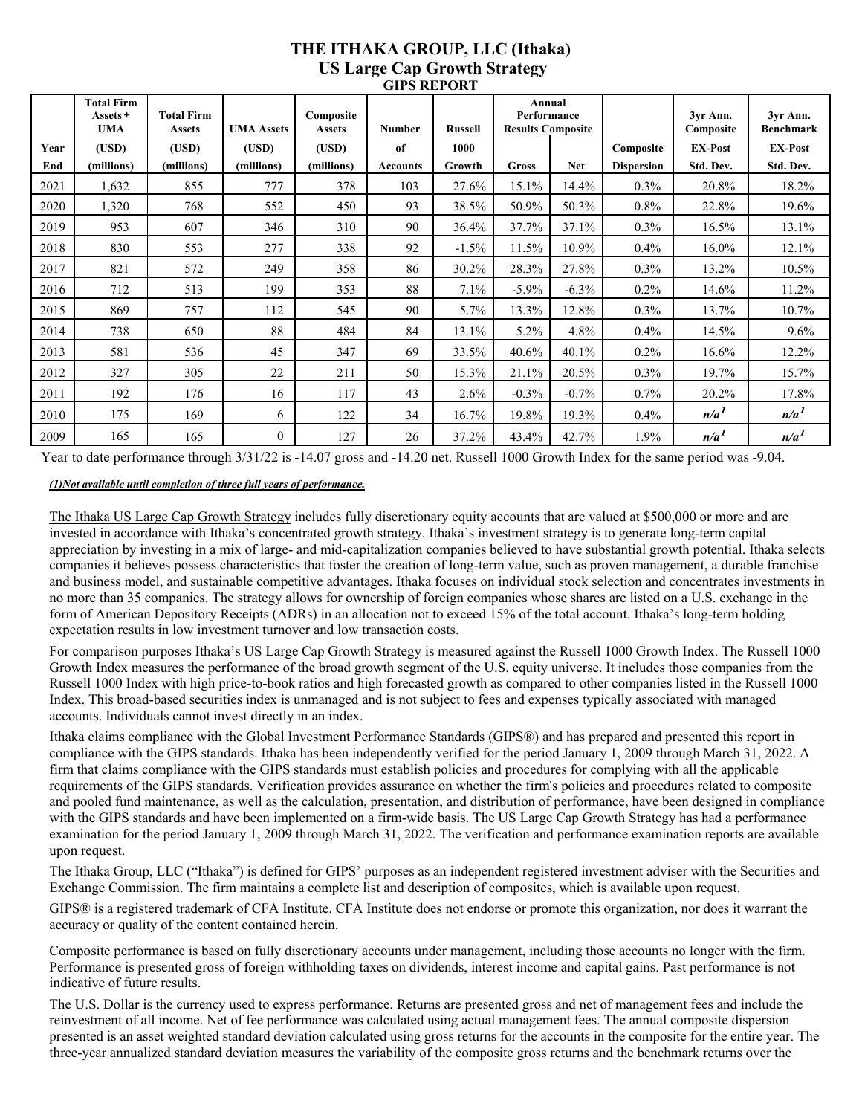## **THE ITHAKA GROUP, LLC (Ithaka) US Large Cap Growth Strategy GIPS REPORT**

|      | <b>Total Firm</b><br>Assets +<br><b>UMA</b> | <b>Total Firm</b><br><b>Assets</b> | <b>UMA Assets</b> | Composite<br><b>Assets</b> | <b>Number</b>   | <b>Russell</b> | Annual<br>Performance<br><b>Results Composite</b> |            |                   | 3yr Ann.<br>Composite | 3yr Ann.<br><b>Benchmark</b> |
|------|---------------------------------------------|------------------------------------|-------------------|----------------------------|-----------------|----------------|---------------------------------------------------|------------|-------------------|-----------------------|------------------------------|
| Year | (USD)                                       | (USD)                              | (USD)             | (USD)                      | of              | 1000           |                                                   |            | Composite         | <b>EX-Post</b>        | <b>EX-Post</b>               |
| End  | (millions)                                  | (millions)                         | (millions)        | (millions)                 | <b>Accounts</b> | Growth         | Gross                                             | <b>Net</b> | <b>Dispersion</b> | Std. Dev.             | Std. Dev.                    |
| 2021 | 1,632                                       | 855                                | 777               | 378                        | 103             | 27.6%          | 15.1%                                             | 14.4%      | $0.3\%$           | 20.8%                 | 18.2%                        |
| 2020 | 1,320                                       | 768                                | 552               | 450                        | 93              | 38.5%          | 50.9%                                             | 50.3%      | $0.8\%$           | 22.8%                 | 19.6%                        |
| 2019 | 953                                         | 607                                | 346               | 310                        | 90              | 36.4%          | 37.7%                                             | 37.1%      | 0.3%              | 16.5%                 | 13.1%                        |
| 2018 | 830                                         | 553                                | 277               | 338                        | 92              | $-1.5%$        | 11.5%                                             | 10.9%      | 0.4%              | 16.0%                 | 12.1%                        |
| 2017 | 821                                         | 572                                | 249               | 358                        | 86              | 30.2%          | 28.3%                                             | 27.8%      | 0.3%              | 13.2%                 | 10.5%                        |
| 2016 | 712                                         | 513                                | 199               | 353                        | 88              | 7.1%           | $-5.9\%$                                          | $-6.3\%$   | $0.2\%$           | 14.6%                 | 11.2%                        |
| 2015 | 869                                         | 757                                | 112               | 545                        | 90              | 5.7%           | 13.3%                                             | 12.8%      | $0.3\%$           | 13.7%                 | 10.7%                        |
| 2014 | 738                                         | 650                                | 88                | 484                        | 84              | 13.1%          | 5.2%                                              | 4.8%       | 0.4%              | 14.5%                 | $9.6\%$                      |
| 2013 | 581                                         | 536                                | 45                | 347                        | 69              | 33.5%          | 40.6%                                             | 40.1%      | $0.2\%$           | 16.6%                 | 12.2%                        |
| 2012 | 327                                         | 305                                | 22                | 211                        | 50              | 15.3%          | 21.1%                                             | 20.5%      | $0.3\%$           | 19.7%                 | 15.7%                        |
| 2011 | 192                                         | 176                                | 16                | 117                        | 43              | 2.6%           | $-0.3%$                                           | $-0.7%$    | 0.7%              | 20.2%                 | 17.8%                        |
| 2010 | 175                                         | 169                                | 6                 | 122                        | 34              | 16.7%          | 19.8%                                             | 19.3%      | 0.4%              | n/a <sup>1</sup>      | n/a <sup>1</sup>             |
| 2009 | 165                                         | 165                                | $\theta$          | 127                        | 26              | 37.2%          | 43.4%                                             | 42.7%      | 1.9%              | n/a <sup>1</sup>      | n/a <sup>1</sup>             |

Year to date performance through 3/31/22 is -14.07 gross and -14.20 net. Russell 1000 Growth Index for the same period was -9.04.

## *(1)Not available until completion of three full years of performance.*

The Ithaka US Large Cap Growth Strategy includes fully discretionary equity accounts that are valued at \$500,000 or more and are invested in accordance with Ithaka's concentrated growth strategy. Ithaka's investment strategy is to generate long-term capital appreciation by investing in a mix of large- and mid-capitalization companies believed to have substantial growth potential. Ithaka selects companies it believes possess characteristics that foster the creation of long-term value, such as proven management, a durable franchise and business model, and sustainable competitive advantages. Ithaka focuses on individual stock selection and concentrates investments in no more than 35 companies. The strategy allows for ownership of foreign companies whose shares are listed on a U.S. exchange in the form of American Depository Receipts (ADRs) in an allocation not to exceed 15% of the total account. Ithaka's long-term holding expectation results in low investment turnover and low transaction costs.

For comparison purposes Ithaka's US Large Cap Growth Strategy is measured against the Russell 1000 Growth Index. The Russell 1000 Growth Index measures the performance of the broad growth segment of the U.S. equity universe. It includes those companies from the Russell 1000 Index with high price-to-book ratios and high forecasted growth as compared to other companies listed in the Russell 1000 Index. This broad-based securities index is unmanaged and is not subject to fees and expenses typically associated with managed accounts. Individuals cannot invest directly in an index.

Ithaka claims compliance with the Global Investment Performance Standards (GIPS®) and has prepared and presented this report in compliance with the GIPS standards. Ithaka has been independently verified for the period January 1, 2009 through March 31, 2022. A firm that claims compliance with the GIPS standards must establish policies and procedures for complying with all the applicable requirements of the GIPS standards. Verification provides assurance on whether the firm's policies and procedures related to composite and pooled fund maintenance, as well as the calculation, presentation, and distribution of performance, have been designed in compliance with the GIPS standards and have been implemented on a firm-wide basis. The US Large Cap Growth Strategy has had a performance examination for the period January 1, 2009 through March 31, 2022. The verification and performance examination reports are available upon request.

The Ithaka Group, LLC ("Ithaka") is defined for GIPS' purposes as an independent registered investment adviser with the Securities and Exchange Commission. The firm maintains a complete list and description of composites, which is available upon request.

GIPS® is a registered trademark of CFA Institute. CFA Institute does not endorse or promote this organization, nor does it warrant the accuracy or quality of the content contained herein.

Composite performance is based on fully discretionary accounts under management, including those accounts no longer with the firm. Performance is presented gross of foreign withholding taxes on dividends, interest income and capital gains. Past performance is not indicative of future results.

The U.S. Dollar is the currency used to express performance. Returns are presented gross and net of management fees and include the reinvestment of all income. Net of fee performance was calculated using actual management fees. The annual composite dispersion presented is an asset weighted standard deviation calculated using gross returns for the accounts in the composite for the entire year. The three-year annualized standard deviation measures the variability of the composite gross returns and the benchmark returns over the